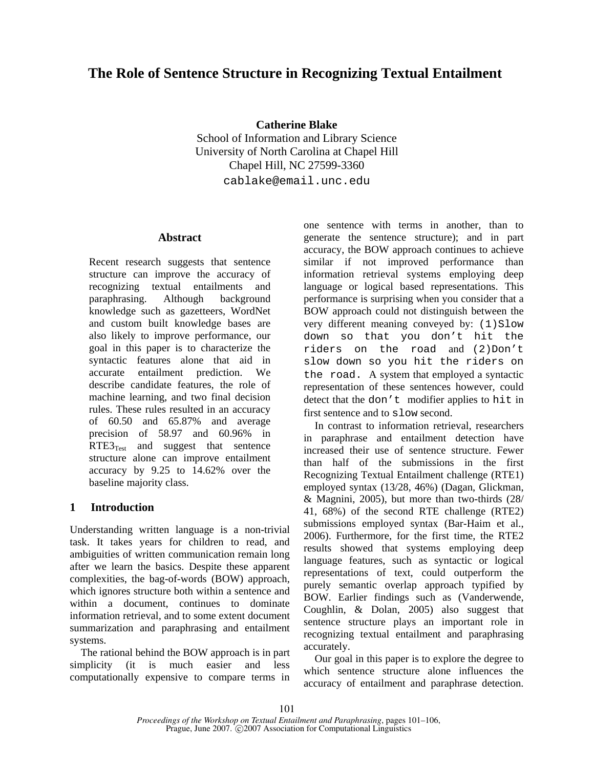# **The Role of Sentence Structure in Recognizing Textual Entailment**

**Catherine Blake** 

School of Information and Library Science University of North Carolina at Chapel Hill Chapel Hill, NC 27599-3360

cablake@email.unc.edu

### **Abstract**

Recent research suggests that sentence structure can improve the accuracy of recognizing textual entailments and paraphrasing. Although background knowledge such as gazetteers, WordNet and custom built knowledge bases are also likely to improve performance, our goal in this paper is to characterize the syntactic features alone that aid in accurate entailment prediction. We describe candidate features, the role of machine learning, and two final decision rules. These rules resulted in an accuracy of 60.50 and 65.87% and average precision of 58.97 and 60.96% in  $RTE3<sub>Test</sub>$  and suggest that sentence structure alone can improve entailment accuracy by 9.25 to 14.62% over the baseline majority class.

# **1 Introduction**

Understanding written language is a non-trivial task. It takes years for children to read, and ambiguities of written communication remain long after we learn the basics. Despite these apparent complexities, the bag-of-words (BOW) approach, which ignores structure both within a sentence and within a document, continues to dominate information retrieval, and to some extent document summarization and paraphrasing and entailment systems.

The rational behind the BOW approach is in part simplicity (it is much easier and less computationally expensive to compare terms in one sentence with terms in another, than to generate the sentence structure); and in part accuracy, the BOW approach continues to achieve similar if not improved performance than information retrieval systems employing deep language or logical based representations. This performance is surprising when you consider that a BOW approach could not distinguish between the very different meaning conveyed by:  $(1)$ Slow down so that you don't hit the riders on the road and (2)Don't slow down so you hit the riders on the road. A system that employed a syntactic representation of these sentences however, could detect that the don't modifier applies to hit in first sentence and to slow second.

In contrast to information retrieval, researchers in paraphrase and entailment detection have increased their use of sentence structure. Fewer than half of the submissions in the first Recognizing Textual Entailment challenge (RTE1) employed syntax (13/28, 46%) (Dagan, Glickman, & Magnini, 2005), but more than two-thirds (28/ 41, 68%) of the second RTE challenge (RTE2) submissions employed syntax (Bar-Haim et al., 2006). Furthermore, for the first time, the RTE2 results showed that systems employing deep language features, such as syntactic or logical representations of text, could outperform the purely semantic overlap approach typified by BOW. Earlier findings such as (Vanderwende, Coughlin, & Dolan, 2005) also suggest that sentence structure plays an important role in recognizing textual entailment and paraphrasing accurately.

Our goal in this paper is to explore the degree to which sentence structure alone influences the accuracy of entailment and paraphrase detection.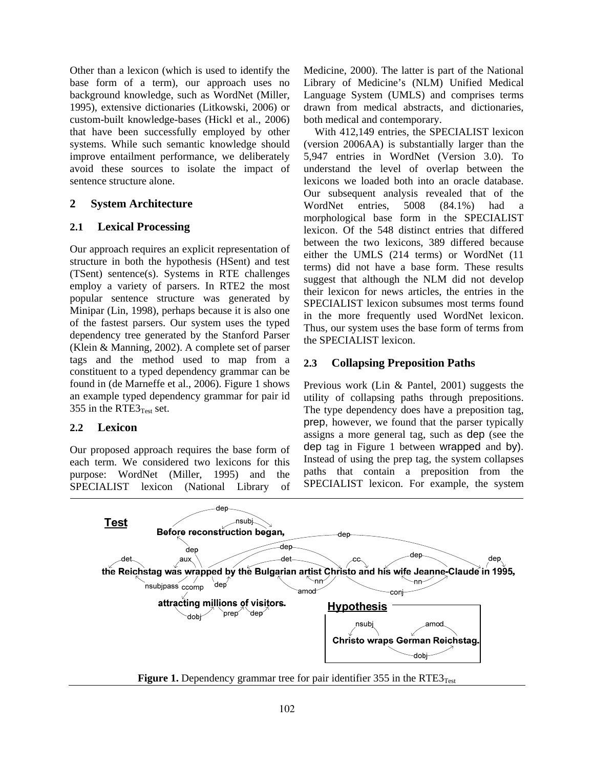Other than a lexicon (which is used to identify the base form of a term), our approach uses no background knowledge, such as WordNet (Miller, 1995), extensive dictionaries (Litkowski, 2006) or custom-built knowledge-bases (Hickl et al., 2006) that have been successfully employed by other systems. While such semantic knowledge should improve entailment performance, we deliberately avoid these sources to isolate the impact of sentence structure alone.

# **2 System Architecture**

# **2.1 Lexical Processing**

Our approach requires an explicit representation of structure in both the hypothesis (HSent) and test (TSent) sentence(s). Systems in RTE challenges employ a variety of parsers. In RTE2 the most popular sentence structure was generated by Minipar (Lin, 1998), perhaps because it is also one of the fastest parsers. Our system uses the typed dependency tree generated by the Stanford Parser (Klein & Manning, 2002). A complete set of parser tags and the method used to map from a constituent to a typed dependency grammar can be found in (de Marneffe et al., 2006). Figure 1 shows an example typed dependency grammar for pair id 355 in the RTE3 $_{Test}$  set.

# **2.2 Lexicon**

Our proposed approach requires the base form of each term. We considered two lexicons for this purpose: WordNet (Miller, 1995) and the SPECIALIST lexicon (National Library of Medicine, 2000). The latter is part of the National Library of Medicine's (NLM) Unified Medical Language System (UMLS) and comprises terms drawn from medical abstracts, and dictionaries, both medical and contemporary.

With 412,149 entries, the SPECIALIST lexicon (version 2006AA) is substantially larger than the 5,947 entries in WordNet (Version 3.0). To understand the level of overlap between the lexicons we loaded both into an oracle database. Our subsequent analysis revealed that of the WordNet entries, 5008 (84.1%) had a morphological base form in the SPECIALIST lexicon. Of the 548 distinct entries that differed between the two lexicons, 389 differed because either the UMLS (214 terms) or WordNet (11 terms) did not have a base form. These results suggest that although the NLM did not develop their lexicon for news articles, the entries in the SPECIALIST lexicon subsumes most terms found in the more frequently used WordNet lexicon. Thus, our system uses the base form of terms from the SPECIALIST lexicon.

# **2.3 Collapsing Preposition Paths**

Previous work (Lin & Pantel, 2001) suggests the utility of collapsing paths through prepositions. The type dependency does have a preposition tag, prep, however, we found that the parser typically assigns a more general tag, such as dep (see the dep tag in Figure 1 between wrapped and by). Instead of using the prep tag, the system collapses paths that contain a preposition from the SPECIALIST lexicon. For example, the system



**Figure 1.** Dependency grammar tree for pair identifier 355 in the RTE3 $_{Test}$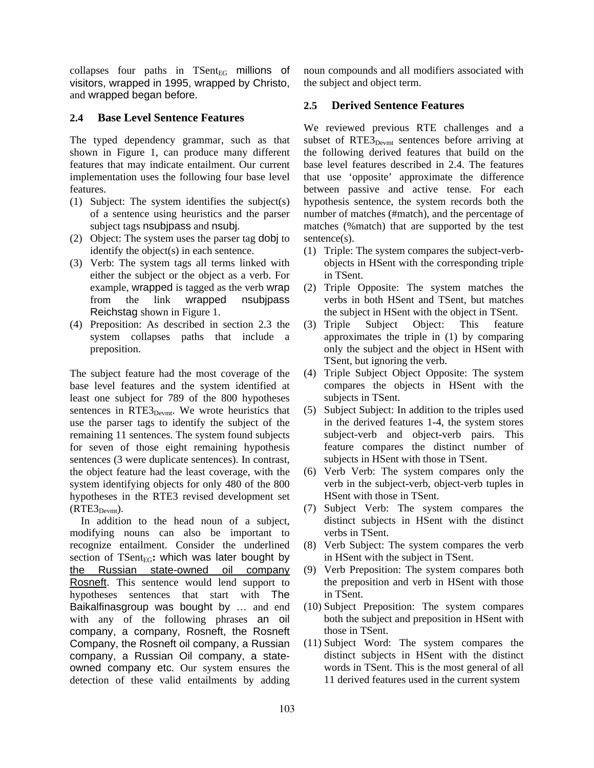collapses four paths in  $T\text{Sent}_{EG}$  millions of visitors, wrapped in 1995, wrapped by Christo, and wrapped began before.

### **2.4 Base Level Sentence Features**

The typed dependency grammar, such as that shown in Figure 1, can produce many different features that may indicate entailment. Our current implementation uses the following four base level features.

- (1) Subject: The system identifies the subject(s) of a sentence using heuristics and the parser subject tags nsubjpass and nsubj.
- (2) Object: The system uses the parser tag dobj to identify the object(s) in each sentence.
- (3) Verb: The system tags all terms linked with either the subject or the object as a verb. For example, wrapped is tagged as the verb wrap from the link wrapped nsubjpass Reichstag shown in Figure 1.
- (4) Preposition: As described in section 2.3 the system collapses paths that include a preposition.

The subject feature had the most coverage of the base level features and the system identified at least one subject for 789 of the 800 hypotheses sentences in RTE3<sub>Devmt</sub>. We wrote heuristics that use the parser tags to identify the subject of the remaining 11 sentences. The system found subjects for seven of those eight remaining hypothesis sentences (3 were duplicate sentences). In contrast, the object feature had the least coverage, with the system identifying objects for only 480 of the 800 hypotheses in the RTE3 revised development set  $(RTE3_{Devmt})$ .

In addition to the head noun of a subject, modifying nouns can also be important to recognize entailment. Consider the underlined section of  $TSent_{EG}$ : which was later bought by the Russian state-owned oil company Rosneft. This sentence would lend support to hypotheses sentences that start with The Baikalfinasgroup was bought by … and end with any of the following phrases an oil company, a company, Rosneft, the Rosneft Company, the Rosneft oil company, a Russian company, a Russian Oil company, a stateowned company etc. Our system ensures the detection of these valid entailments by adding noun compounds and all modifiers associated with the subject and object term.

### **2.5 Derived Sentence Features**

We reviewed previous RTE challenges and a subset of RTE3<sub>Devmt</sub> sentences before arriving at the following derived features that build on the base level features described in 2.4. The features that use 'opposite' approximate the difference between passive and active tense. For each hypothesis sentence, the system records both the number of matches (#match), and the percentage of matches (%match) that are supported by the test sentence(s).

- (1) Triple: The system compares the subject-verbobjects in HSent with the corresponding triple in TSent.
- (2) Triple Opposite: The system matches the verbs in both HSent and TSent, but matches the subject in HSent with the object in TSent.
- (3) Triple Subject Object: This feature approximates the triple in (1) by comparing only the subject and the object in HSent with TSent, but ignoring the verb.
- (4) Triple Subject Object Opposite: The system compares the objects in HSent with the subjects in TSent.
- (5) Subject Subject: In addition to the triples used in the derived features 1-4, the system stores subject-verb and object-verb pairs. This feature compares the distinct number of subjects in HSent with those in TSent.
- (6) Verb Verb: The system compares only the verb in the subject-verb, object-verb tuples in HSent with those in TSent.
- (7) Subject Verb: The system compares the distinct subjects in HSent with the distinct verbs in TSent.
- (8) Verb Subject: The system compares the verb in HSent with the subject in TSent.
- (9) Verb Preposition: The system compares both the preposition and verb in HSent with those in TSent.
- (10) Subject Preposition: The system compares both the subject and preposition in HSent with those in TSent.
- (11) Subject Word: The system compares the distinct subjects in HSent with the distinct words in TSent. This is the most general of all 11 derived features used in the current system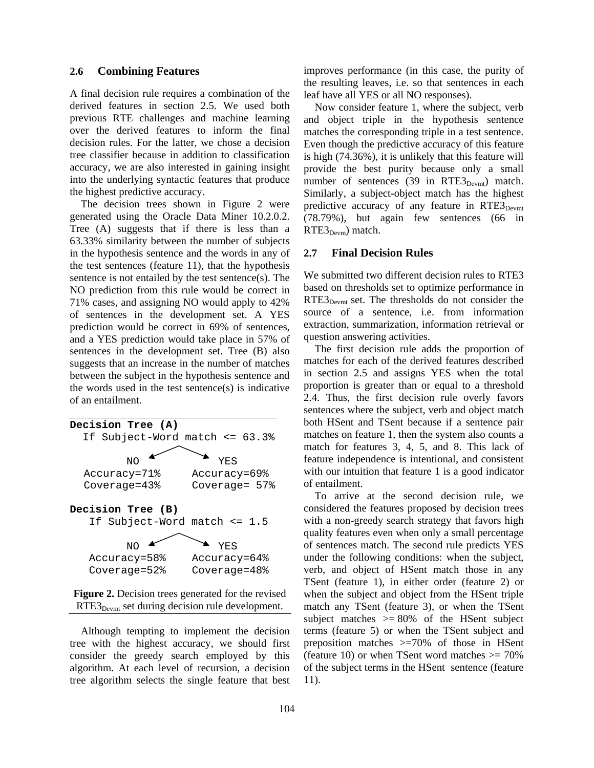#### **2.6 Combining Features**

A final decision rule requires a combination of the derived features in section 2.5. We used both previous RTE challenges and machine learning over the derived features to inform the final decision rules. For the latter, we chose a decision tree classifier because in addition to classification accuracy, we are also interested in gaining insight into the underlying syntactic features that produce the highest predictive accuracy.

The decision trees shown in Figure 2 were generated using the Oracle Data Miner 10.2.0.2. Tree (A) suggests that if there is less than a 63.33% similarity between the number of subjects in the hypothesis sentence and the words in any of the test sentences (feature 11), that the hypothesis sentence is not entailed by the test sentence(s). The NO prediction from this rule would be correct in 71% cases, and assigning NO would apply to 42% of sentences in the development set. A YES prediction would be correct in 69% of sentences, and a YES prediction would take place in 57% of sentences in the development set. Tree (B) also suggests that an increase in the number of matches between the subject in the hypothesis sentence and the words used in the test sentence(s) is indicative of an entailment.





Although tempting to implement the decision tree with the highest accuracy, we should first consider the greedy search employed by this algorithm. At each level of recursion, a decision tree algorithm selects the single feature that best improves performance (in this case, the purity of the resulting leaves, i.e. so that sentences in each leaf have all YES or all NO responses).

Now consider feature 1, where the subject, verb and object triple in the hypothesis sentence matches the corresponding triple in a test sentence. Even though the predictive accuracy of this feature is high (74.36%), it is unlikely that this feature will provide the best purity because only a small number of sentences  $(39 \text{ in } RTE3_{Devmt})$  match. Similarly, a subject-object match has the highest predictive accuracy of any feature in  $RTE3_{Devmt}$ (78.79%), but again few sentences (66 in  $RTE3_{\text{Devm}}$ ) match.

#### **2.7 Final Decision Rules**

We submitted two different decision rules to RTE3 based on thresholds set to optimize performance in RTE3<sub>Devmt</sub> set. The thresholds do not consider the source of a sentence, i.e. from information extraction, summarization, information retrieval or question answering activities.

The first decision rule adds the proportion of matches for each of the derived features described in section 2.5 and assigns YES when the total proportion is greater than or equal to a threshold 2.4. Thus, the first decision rule overly favors sentences where the subject, verb and object match both HSent and TSent because if a sentence pair matches on feature 1, then the system also counts a match for features 3, 4, 5, and 8. This lack of feature independence is intentional, and consistent with our intuition that feature 1 is a good indicator of entailment.

To arrive at the second decision rule, we considered the features proposed by decision trees with a non-greedy search strategy that favors high quality features even when only a small percentage of sentences match. The second rule predicts YES under the following conditions: when the subject, verb, and object of HSent match those in any TSent (feature 1), in either order (feature 2) or when the subject and object from the HSent triple match any TSent (feature 3), or when the TSent subject matches  $\geq$  80% of the HSent subject terms (feature 5) or when the TSent subject and preposition matches >=70% of those in HSent (feature 10) or when TSent word matches  $\geq$  70% of the subject terms in the HSent sentence (feature 11).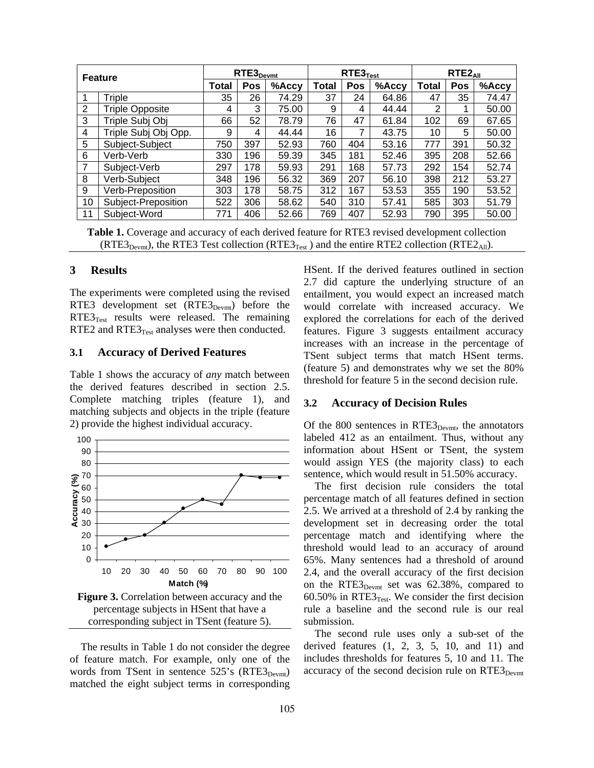| <b>Feature</b> |                        | $RTE3_{Devmt}$ |     |          | $RTE3$ <sub>Test</sub> |     |          | $RTE2_{All}$ |            |       |
|----------------|------------------------|----------------|-----|----------|------------------------|-----|----------|--------------|------------|-------|
|                |                        | Total          | Pos | $%$ Accy | Total                  | Pos | $%$ Accy | Total        | <b>Pos</b> | %Accy |
|                | Triple                 | 35             | 26  | 74.29    | 37                     | 24  | 64.86    | 47           | 35         | 74.47 |
| 2              | <b>Triple Opposite</b> | 4              | 3   | 75.00    | 9                      | 4   | 44.44    | 2            | 1          | 50.00 |
| 3              | Triple Subj Obj        | 66             | 52  | 78.79    | 76                     | 47  | 61.84    | 102          | 69         | 67.65 |
| 4              | Triple Subj Obj Opp.   | 9              | 4   | 44.44    | 16                     | 7   | 43.75    | 10           | 5          | 50.00 |
| 5              | Subject-Subject        | 750            | 397 | 52.93    | 760                    | 404 | 53.16    | 777          | 391        | 50.32 |
| 6              | Verb-Verb              | 330            | 196 | 59.39    | 345                    | 181 | 52.46    | 395          | 208        | 52.66 |
| 7              | Subject-Verb           | 297            | 178 | 59.93    | 291                    | 168 | 57.73    | 292          | 154        | 52.74 |
| 8              | Verb-Subject           | 348            | 196 | 56.32    | 369                    | 207 | 56.10    | 398          | 212        | 53.27 |
| 9              | Verb-Preposition       | 303            | 178 | 58.75    | 312                    | 167 | 53.53    | 355          | 190        | 53.52 |
| 10             | Subject-Preposition    | 522            | 306 | 58.62    | 540                    | 310 | 57.41    | 585          | 303        | 51.79 |
| 11             | Subject-Word           | 771            | 406 | 52.66    | 769                    | 407 | 52.93    | 790          | 395        | 50.00 |

**Table 1.** Coverage and accuracy of each derived feature for RTE3 revised development collection  $(RTE3_{Devmt})$ , the RTE3 Test collection  $(RTE3_{Test})$  and the entire RTE2 collection  $(RTE2_{All})$ .

#### **3 Results**

The experiments were completed using the revised RTE3 development set (RTE3<sub>Devmt</sub>) before the  $RTE3<sub>Test</sub>$  results were released. The remaining RTE2 and  $RTE3$ <sub>Test</sub> analyses were then conducted.

#### **3.1 Accuracy of Derived Features**

Table 1 shows the accuracy of *any* match between the derived features described in section 2.5. Complete matching triples (feature 1), and matching subjects and objects in the triple (feature 2) provide the highest individual accuracy.



The results in Table 1 do not consider the degree of feature match. For example, only one of the words from TSent in sentence  $525$ 's (RTE3<sub>Devmt</sub>) matched the eight subject terms in corresponding HSent. If the derived features outlined in section 2.7 did capture the underlying structure of an entailment, you would expect an increased match would correlate with increased accuracy. We explored the correlations for each of the derived features. Figure 3 suggests entailment accuracy increases with an increase in the percentage of TSent subject terms that match HSent terms. (feature 5) and demonstrates why we set the 80% threshold for feature 5 in the second decision rule.

#### **3.2 Accuracy of Decision Rules**

Of the 800 sentences in  $RTE3_{Devmt}$ , the annotators labeled 412 as an entailment. Thus, without any information about HSent or TSent, the system would assign YES (the majority class) to each sentence, which would result in 51.50% accuracy.

The first decision rule considers the total percentage match of all features defined in section 2.5. We arrived at a threshold of 2.4 by ranking the development set in decreasing order the total percentage match and identifying where the threshold would lead to an accuracy of around 65%. Many sentences had a threshold of around 2.4, and the overall accuracy of the first decision on the RTE3 $_{Devmt}$  set was 62.38%, compared to 60.50% in RTE3 $_{Test}$ . We consider the first decision rule a baseline and the second rule is our real submission.

The second rule uses only a sub-set of the derived features (1, 2, 3, 5, 10, and 11) and includes thresholds for features 5, 10 and 11. The accuracy of the second decision rule on  $RTE3_{Devmt}$